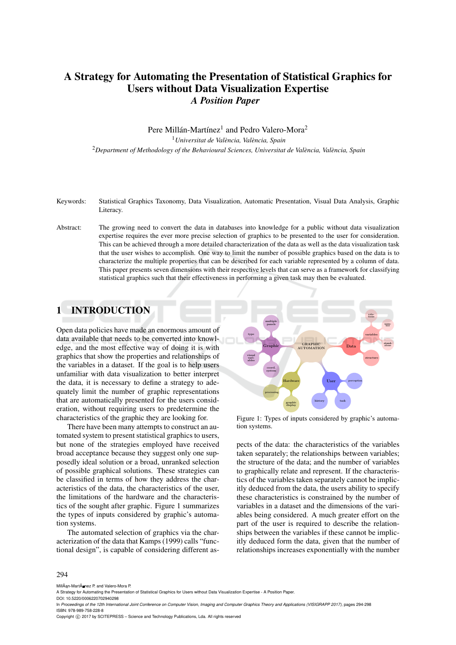# A Strategy for Automating the Presentation of Statistical Graphics for Users without Data Visualization Expertise *A Position Paper*

Pere Millán-Martínez<sup>1</sup> and Pedro Valero-Mora<sup>2</sup> <sup>1</sup> Universitat de València, València, Spain <sup>2</sup>Department of Methodology of the Behavioural Sciences, Universitat de València, València, Spain

- Keywords: Statistical Graphics Taxonomy, Data Visualization, Automatic Presentation, Visual Data Analysis, Graphic Literacy.
- Abstract: The growing need to convert the data in databases into knowledge for a public without data visualization expertise requires the ever more precise selection of graphics to be presented to the user for consideration. This can be achieved through a more detailed characterization of the data as well as the data visualization task that the user wishes to accomplish. One way to limit the number of possible graphics based on the data is to characterize the multiple properties that can be described for each variable represented by a column of data. This paper presents seven dimensions with their respective levels that can serve as a framework for classifying statistical graphics such that their effectiveness in performing a given task may then be evaluated.

## 1 INTRODUCTION

Open data policies have made an enormous amount of data available that needs to be converted into knowledge, and the most effective way of doing it is with graphics that show the properties and relationships of the variables in a dataset. If the goal is to help users unfamiliar with data visualization to better interpret the data, it is necessary to define a strategy to adequately limit the number of graphic representations that are automatically presented for the users consideration, without requiring users to predetermine the characteristics of the graphic they are looking for.

There have been many attempts to construct an automated system to present statistical graphics to users, but none of the strategies employed have received broad acceptance because they suggest only one supposedly ideal solution or a broad, unranked selection of possible graphical solutions. These strategies can be classified in terms of how they address the characteristics of the data, the characteristics of the user, the limitations of the hardware and the characteristics of the sought after graphic. Figure 1 summarizes the types of inputs considered by graphic's automation systems.

The automated selection of graphics via the characterization of the data that Kamps (1999) calls "functional design", is capable of considering different as-



Figure 1: Types of inputs considered by graphic's automation systems.

pects of the data: the characteristics of the variables taken separately; the relationships between variables; the structure of the data; and the number of variables to graphically relate and represent. If the characteristics of the variables taken separately cannot be implicitly deduced from the data, the users ability to specify these characteristics is constrained by the number of variables in a dataset and the dimensions of the variables being considered. A much greater effort on the part of the user is required to describe the relationships between the variables if these cannot be implicitly deduced form the data, given that the number of relationships increases exponentially with the number

#### 294

MillÂan-Martà nez P. and Valero-Mora P.

DOI: 10.5220/0006220702940298

Copyright © 2017 by SCITEPRESS - Science and Technology Publications, Lda. All rights reserved

A Strategy for Automating the Presentation of Statistical Graphics for Users without Data Visualization Expertise - A Position Paper.

In *Proceedings of the 12th International Joint Conference on Computer Vision, Imaging and Computer Graphics Theory and Applications (VISIGRAPP 2017)*, pages 294-298 ISBN: 978-989-758-228-8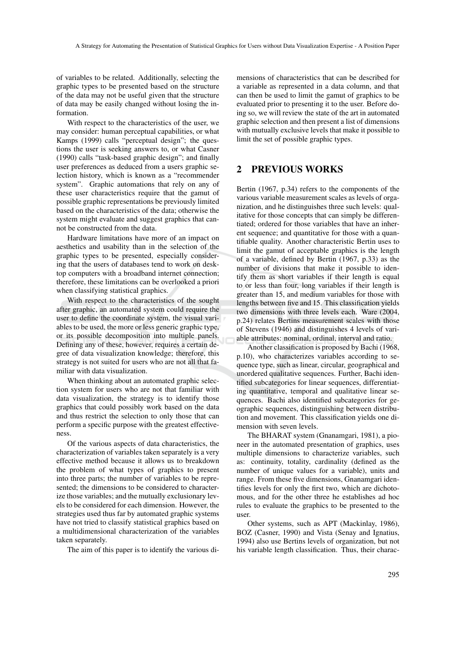of variables to be related. Additionally, selecting the graphic types to be presented based on the structure of the data may not be useful given that the structure of data may be easily changed without losing the information.

With respect to the characteristics of the user, we may consider: human perceptual capabilities, or what Kamps (1999) calls "perceptual design"; the questions the user is seeking answers to, or what Casner (1990) calls "task-based graphic design"; and finally user preferences as deduced from a users graphic selection history, which is known as a "recommender system". Graphic automations that rely on any of these user characteristics require that the gamut of possible graphic representations be previously limited based on the characteristics of the data; otherwise the system might evaluate and suggest graphics that cannot be constructed from the data.

Hardware limitations have more of an impact on aesthetics and usability than in the selection of the graphic types to be presented, especially considering that the users of databases tend to work on desktop computers with a broadband internet connection; therefore, these limitations can be overlooked a priori when classifying statistical graphics.

With respect to the characteristics of the sought after graphic, an automated system could require the user to define the coordinate system, the visual variables to be used, the more or less generic graphic type, or its possible decomposition into multiple panels. Defining any of these, however, requires a certain degree of data visualization knowledge; therefore, this strategy is not suited for users who are not all that familiar with data visualization.

When thinking about an automated graphic selection system for users who are not that familiar with data visualization, the strategy is to identify those graphics that could possibly work based on the data and thus restrict the selection to only those that can perform a specific purpose with the greatest effectiveness.

Of the various aspects of data characteristics, the characterization of variables taken separately is a very effective method because it allows us to breakdown the problem of what types of graphics to present into three parts; the number of variables to be represented; the dimensions to be considered to characterize those variables; and the mutually exclusionary levels to be considered for each dimension. However, the strategies used thus far by automated graphic systems have not tried to classify statistical graphics based on a multidimensional characterization of the variables taken separately.

The aim of this paper is to identify the various di-

mensions of characteristics that can be described for a variable as represented in a data column, and that can then be used to limit the gamut of graphics to be evaluated prior to presenting it to the user. Before doing so, we will review the state of the art in automated graphic selection and then present a list of dimensions with mutually exclusive levels that make it possible to limit the set of possible graphic types.

### 2 PREVIOUS WORKS

Bertin (1967, p.34) refers to the components of the various variable measurement scales as levels of organization, and he distinguishes three such levels: qualitative for those concepts that can simply be differentiated; ordered for those variables that have an inherent sequence; and quantitative for those with a quantifiable quality. Another characteristic Bertin uses to limit the gamut of acceptable graphics is the length of a variable, defined by Bertin (1967, p.33) as the number of divisions that make it possible to identify them as short variables if their length is equal to or less than four, long variables if their length is greater than 15, and medium variables for those with lengths between five and 15. This classification yields two dimensions with three levels each. Ware (2004, p.24) relates Bertins measurement scales with those of Stevens (1946) and distinguishes 4 levels of variable attributes: nominal, ordinal, interval and ratio.

Another classification is proposed by Bachi (1968, p.10), who characterizes variables according to sequence type, such as linear, circular, geographical and unordered qualitative sequences. Further, Bachi identified subcategories for linear sequences, differentiating quantitative, temporal and qualitative linear sequences. Bachi also identified subcategories for geographic sequences, distinguishing between distribution and movement. This classification yields one dimension with seven levels.

The BHARAT system (Gnanamgari, 1981), a pioneer in the automated presentation of graphics, uses multiple dimensions to characterize variables, such as: continuity, totality, cardinality (defined as the number of unique values for a variable), units and range. From these five dimensions, Gnanamgari identifies levels for only the first two, which are dichotomous, and for the other three he establishes ad hoc rules to evaluate the graphics to be presented to the user.

Other systems, such as APT (Mackinlay, 1986), BOZ (Casner, 1990) and Vista (Senay and Ignatius, 1994) also use Bertins levels of organization, but not his variable length classification. Thus, their charac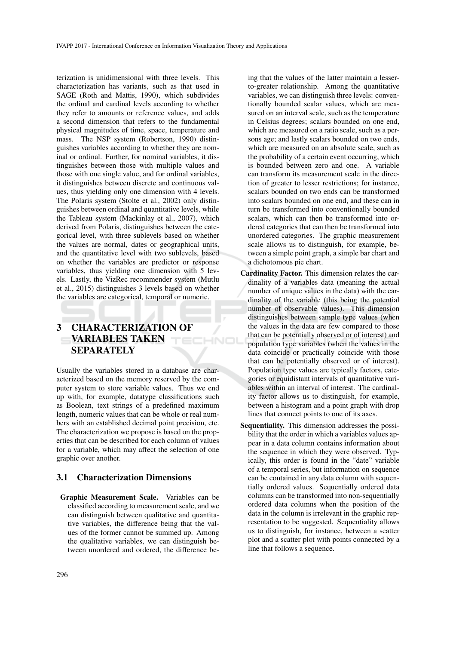terization is unidimensional with three levels. This characterization has variants, such as that used in SAGE (Roth and Mattis, 1990), which subdivides the ordinal and cardinal levels according to whether they refer to amounts or reference values, and adds a second dimension that refers to the fundamental physical magnitudes of time, space, temperature and mass. The NSP system (Robertson, 1990) distinguishes variables according to whether they are nominal or ordinal. Further, for nominal variables, it distinguishes between those with multiple values and those with one single value, and for ordinal variables, it distinguishes between discrete and continuous values, thus yielding only one dimension with 4 levels. The Polaris system (Stolte et al., 2002) only distinguishes between ordinal and quantitative levels, while the Tableau system (Mackinlay et al., 2007), which derived from Polaris, distinguishes between the categorical level, with three sublevels based on whether the values are normal, dates or geographical units, and the quantitative level with two sublevels, based on whether the variables are predictor or response variables, thus yielding one dimension with 5 levels. Lastly, the VizRec recommender system (Mutlu et al., 2015) distinguishes 3 levels based on whether the variables are categorical, temporal or numeric.

# 3 CHARACTERIZATION OF VARIABLES TAKEN SEPARATELY

HNC

Usually the variables stored in a database are characterized based on the memory reserved by the computer system to store variable values. Thus we end up with, for example, datatype classifications such as Boolean, text strings of a predefined maximum length, numeric values that can be whole or real numbers with an established decimal point precision, etc. The characterization we propose is based on the properties that can be described for each column of values for a variable, which may affect the selection of one graphic over another.

#### 3.1 Characterization Dimensions

Graphic Measurement Scale. Variables can be classified according to measurement scale, and we can distinguish between qualitative and quantitative variables, the difference being that the values of the former cannot be summed up. Among the qualitative variables, we can distinguish between unordered and ordered, the difference being that the values of the latter maintain a lesserto-greater relationship. Among the quantitative variables, we can distinguish three levels: conventionally bounded scalar values, which are measured on an interval scale, such as the temperature in Celsius degrees; scalars bounded on one end, which are measured on a ratio scale, such as a persons age; and lastly scalars bounded on two ends, which are measured on an absolute scale, such as the probability of a certain event occurring, which is bounded between zero and one. A variable can transform its measurement scale in the direction of greater to lesser restrictions; for instance, scalars bounded on two ends can be transformed into scalars bounded on one end, and these can in turn be transformed into conventionally bounded scalars, which can then be transformed into ordered categories that can then be transformed into unordered categories. The graphic measurement scale allows us to distinguish, for example, between a simple point graph, a simple bar chart and a dichotomous pie chart.

- Cardinality Factor. This dimension relates the cardinality of a variables data (meaning the actual number of unique values in the data) with the cardinality of the variable (this being the potential number of observable values). This dimension distinguishes between sample type values (when the values in the data are few compared to those that can be potentially observed or of interest) and population type variables (when the values in the data coincide or practically coincide with those that can be potentially observed or of interest). Population type values are typically factors, categories or equidistant intervals of quantitative variables within an interval of interest. The cardinality factor allows us to distinguish, for example, between a histogram and a point graph with drop lines that connect points to one of its axes.
- Sequentiality. This dimension addresses the possibility that the order in which a variables values appear in a data column contains information about the sequence in which they were observed. Typically, this order is found in the "date" variable of a temporal series, but information on sequence can be contained in any data column with sequentially ordered values. Sequentially ordered data columns can be transformed into non-sequentially ordered data columns when the position of the data in the column is irrelevant in the graphic representation to be suggested. Sequentiality allows us to distinguish, for instance, between a scatter plot and a scatter plot with points connected by a line that follows a sequence.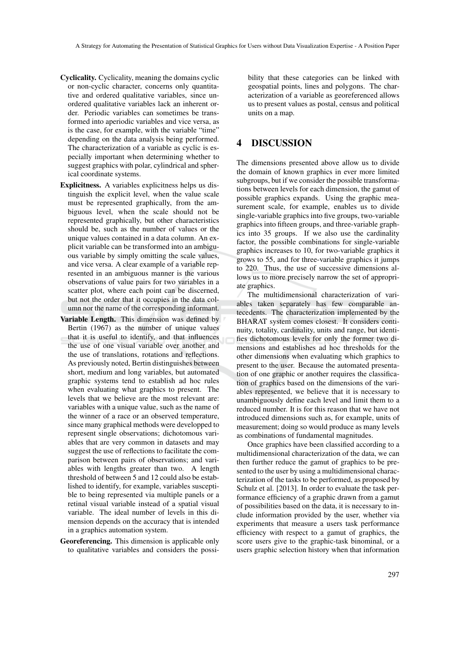- Cyclicality. Cyclicality, meaning the domains cyclic or non-cyclic character, concerns only quantitative and ordered qualitative variables, since unordered qualitative variables lack an inherent order. Periodic variables can sometimes be transformed into aperiodic variables and vice versa, as is the case, for example, with the variable "time" depending on the data analysis being performed. The characterization of a variable as cyclic is especially important when determining whether to suggest graphics with polar, cylindrical and spherical coordinate systems.
- Explicitness. A variables explicitness helps us distinguish the explicit level, when the value scale must be represented graphically, from the ambiguous level, when the scale should not be represented graphically, but other characteristics should be, such as the number of values or the unique values contained in a data column. An explicit variable can be transformed into an ambiguous variable by simply omitting the scale values, and vice versa. A clear example of a variable represented in an ambiguous manner is the various observations of value pairs for two variables in a scatter plot, where each point can be discerned, but not the order that it occupies in the data column nor the name of the corresponding informant.
- Variable Length. This dimension was defined by Bertin (1967) as the number of unique values that it is useful to identify, and that influences the use of one visual variable over another and the use of translations, rotations and reflections. As previously noted, Bertin distinguishes between short, medium and long variables, but automated graphic systems tend to establish ad hoc rules when evaluating what graphics to present. The levels that we believe are the most relevant are: variables with a unique value, such as the name of the winner of a race or an observed temperature, since many graphical methods were developped to represent single observations; dichotomous variables that are very common in datasets and may suggest the use of reflections to facilitate the comparison between pairs of observations; and variables with lengths greater than two. A length threshold of between 5 and 12 could also be established to identify, for example, variables susceptible to being represented via multiple panels or a retinal visual variable instead of a spatial visual variable. The ideal number of levels in this dimension depends on the accuracy that is intended in a graphics automation system.
- Georeferencing. This dimension is applicable only to qualitative variables and considers the possi-

bility that these categories can be linked with geospatial points, lines and polygons. The characterization of a variable as georeferenced allows us to present values as postal, census and political units on a map.

### 4 DISCUSSION

The dimensions presented above allow us to divide the domain of known graphics in ever more limited subgroups, but if we consider the possible transformations between levels for each dimension, the gamut of possible graphics expands. Using the graphic measurement scale, for example, enables us to divide single-variable graphics into five groups, two-variable graphics into fifteen groups, and three-variable graphics into 35 groups. If we also use the cardinality factor, the possible combinations for single-variable graphics increases to 10, for two-variable graphics it grows to 55, and for three-variable graphics it jumps to 220. Thus, the use of successive dimensions allows us to more precisely narrow the set of appropriate graphics.

The multidimensional characterization of variables taken separately has few comparable antecedents. The characterization implemented by the BHARAT system comes closest. It considers continuity, totality, cardinality, units and range, but identifies dichotomous levels for only the former two dimensions and establishes ad hoc thresholds for the other dimensions when evaluating which graphics to present to the user. Because the automated presentation of one graphic or another requires the classification of graphics based on the dimensions of the variables represented, we believe that it is necessary to unambiguously define each level and limit them to a reduced number. It is for this reason that we have not introduced dimensions such as, for example, units of measurement; doing so would produce as many levels as combinations of fundamental magnitudes.

Once graphics have been classified according to a multidimensional characterization of the data, we can then further reduce the gamut of graphics to be presented to the user by using a multidimensional characterization of the tasks to be performed, as proposed by Schulz et al. [2013]. In order to evaluate the task performance efficiency of a graphic drawn from a gamut of possibilities based on the data, it is necessary to include information provided by the user, whether via experiments that measure a users task performance efficiency with respect to a gamut of graphics, the score users give to the graphic-task binominal, or a users graphic selection history when that information